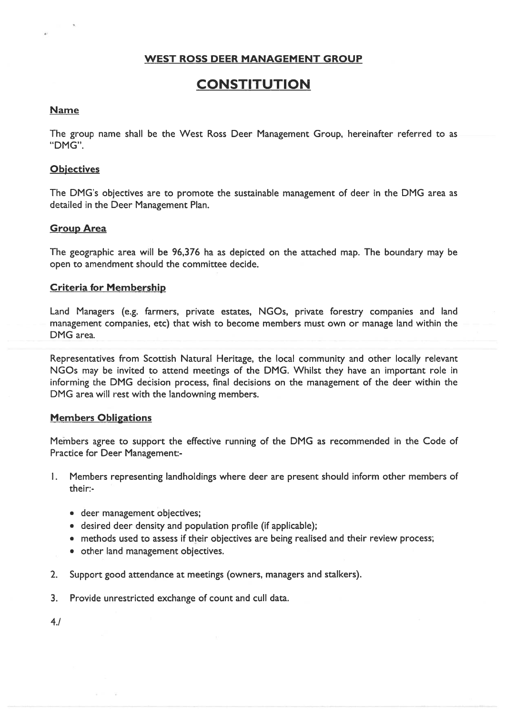# WEST ROSS DEER MANAGEMENT GROUP

# **CONSTITUTION**

#### Name

The group name shall be the West Ross Deer Management Group, hereinafter referred to as "DMG".

#### **Objectives**

The DMG's objectives are to promote the sustainable managemen<sup>t</sup> of deer in the DMG area as detailed in the Deer Management Plan.

#### Group Area

The geographic area will be 96,376 ha as depicted on the attached map. The boundary may be open to amendment should the committee decide.

#### Criteria for Membership

Land Managers (e.g. farmers, private estates, NGOs, private forestry companies and land managemen<sup>t</sup> companies, etc) that wish to become members must own or manage land within the DMG area.

Representatives from Scottish Natural Heritage, the local community and other locally relevant NGOs may be invited to attend meetings of the DMG. Whilst they have an important role in informing the DMG decision process, final decisions on the managemen<sup>t</sup> of the deer within the DMG area will rest with the landowning members.

#### Members Obligations

Members agree to suppor<sup>t</sup> the effective running of the DMG as recommended in the Code of Practice for Deer Management:

- I. Members representing landholdings where deer are presen<sup>t</sup> should inform other members of their:
	- deer managemen<sup>t</sup> objectives;
	- desired deer density and population profile (if applicable);
	- methods used to assess if their objectives are being realised and their review process;
	- other land managemen<sup>t</sup> objectives.
- 2. Support good attendance at meetings (owners, managers and stalkers).
- 3. Provide unrestricted exchange of count and cull data.

4.!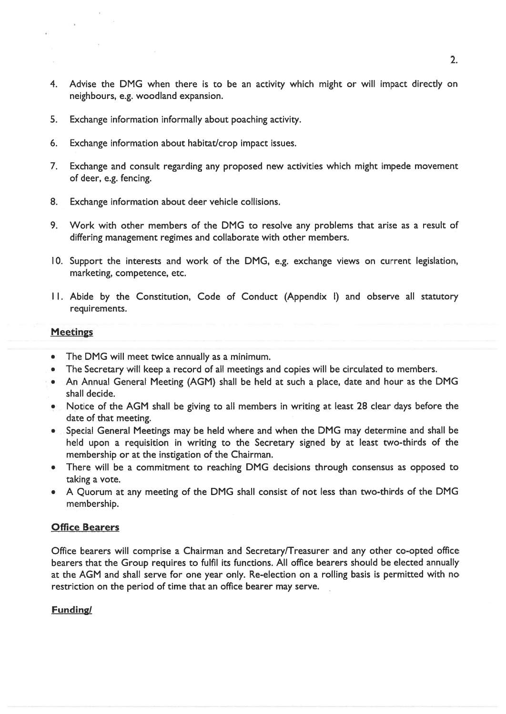- 4. Advise the DMG when there is to be an activity which might or will impact directly on neighbours, e.g. woodland expansion.
- 5. Exchange information informally about poaching activity.
- 6. Exchange information about habitat/crop impact issues.
- 7. Exchange and consult regarding any proposed new activities which might impede movement of deer, e.g. fencing.
- 8. Exchange information about deer vehicle collisions.
- 9. Work with other members of the DMG to resolve any problems that arise as <sup>a</sup> result of differing managemen<sup>t</sup> regimes and collaborate with other members.
- 10. Support the interests and work of the DMG, e.g. exchange views on current legislation, marketing, competence, etc.
- II. Abide by the Constitution, Code of Conduct (Appendix I) and observe all statutory requirements.

#### Meetings

- •The DMG will meet twice annually as <sup>a</sup> minimum.
- •The Secretary will keep <sup>a</sup> record of all meetings and copies will be circulated to members.
- An Annual General Meeting (AGM) shall be held at such <sup>a</sup> place, date and hour as the DMG shall decide.
- Notice of the AGM shall be giving to all members in writing at least 28 clear days before the date of that meeting.
- • Special General Meetings may be held where and when the DMG may determine and shall be held upon <sup>a</sup> requisition in writing to the Secretary signed by at least two-thirds of the membership or at the instigation of the Chairman.
- •There will be a commitment to reaching DMG decisions through consensus as opposed to taking <sup>a</sup> vote.
- A Quorum at any meeting of the DMG shall consist of not less than two-thirds of the DMG membership.

## Office Bearers

Office bearers will comprise a Chairman and Secretary/Treasurer and any other co-opted office bearers that the Group requires to fulfil its functions. All office bearers should be elected annually at the AGM and shall serve for one year only. Re-election on <sup>a</sup> rolling basis is permitted with no restriction on the period of time that an office bearer may serve.

## **Funding/**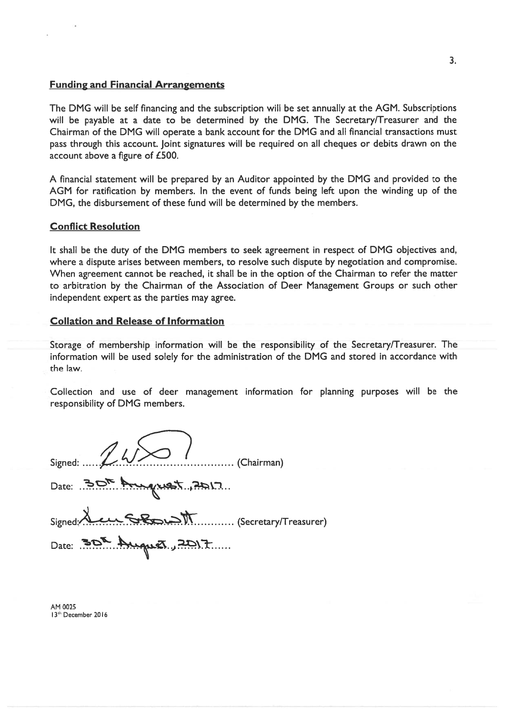#### Funding and Financial Arrangements

The DMG will be self financing and the subscription will be set annually at the AGM. Subscriptions will be payable at <sup>a</sup> date to be determined by the DMG. The Secretary/Treasurer and the Chairman of the DMG will operate <sup>a</sup> bank account for the DMG and all financial transactions must pass through this account. Joint signatures will be required on all cheques or debits drawn on the account above <sup>a</sup> figure of £500.

A financial statement will be prepared by an Auditor appointed by the DMG and provided to the AGM for ratification by members. In the event of funds being left upon the winding up of the DMG, the disbursement of these fund will be determined by the members.

## Conflict Resolution

It shall be the duty of the DMG members to seek agreemen<sup>t</sup> in respec<sup>t</sup> of DMG objectives and, where <sup>a</sup> dispute arises between members, to resolve such dispute by negotiation and compromise. When agreement cannot be reached, it shall be in the option of the Chairman to refer the matter to arbitration by the Chairman of the Association of Deer Management Groups or such other independent expert as the parties may agree.

#### Collation and Release of Information

Storage of membership information will be the responsibility of the Secretary/Treasurer. The information will be used solely for the administration of the DMG and stored in accordance with the law.

Collection and use of deer managemen<sup>t</sup> information for planning purposes will be the responsibility of DMG members.

| Signed: $\mathbb{Z}$ W $\sim$ (Chairman) |           |
|------------------------------------------|-----------|
| Date: 30th August 2017                   |           |
|                                          | Signed: A |
| Date: 30th August, 2017                  |           |

AM 0025 13<sup>th</sup> December 2016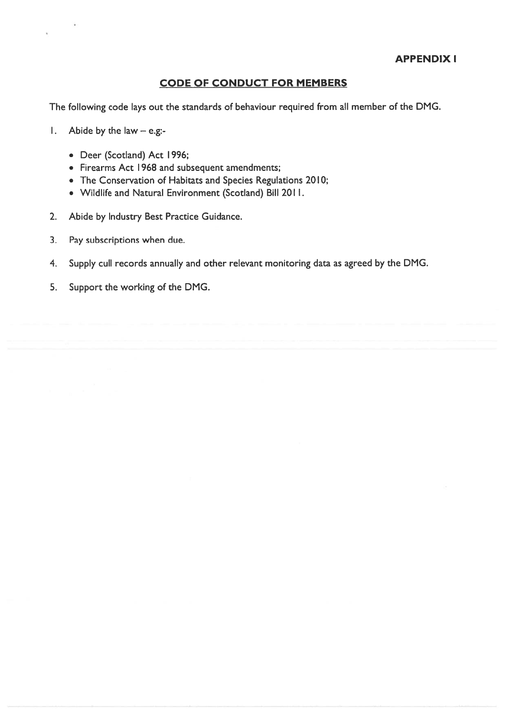# CODE OF CONDUCT FOR MEMBERS

The following code lays out the standards of behaviour required from all member of the DMG.

- I. Abide by the law e.g:
	- Deer (Scotland) Act I 996;
	- Firearms Act I 968 and subsequent amendments;
	- $\bullet~$  The Conservation of Habitats and Species Regulations 2010;
	- Wildlife and Natural Environment (Scotland) Bill 2011.
- 2. Abide by Industry Best Practice Guidance.
- 3. Pay subscriptions when due.
- 4. Supply cull records annually and other relevant monitoring data as agreed by the DMG.
- 5. Support the working of the DMG.